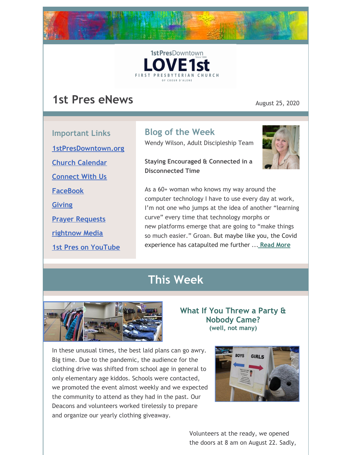



## **1st Pres eNews** August 25, 2020

**Important Links [1stPresDowntown.org](http://www.1stpresdowntown.org/) Church [Calendar](http://www.1stpresdowntown.org/calendar/) [Connect](https://www.1stpresdowntown.org/connect-with-us.html) With Us [FaceBook](https://www.facebook.com/cdadowntownchurch/)**

**Prayer [Requests](https://www.1stpresdowntown.org/prayer-request.html)**

**[rightnow](https://accounts.rightnowmedia.org/Account/Invite/FirstPresDowntown?returnUrl=https://www.rightnowmedia.org/Account/Media/InviteReturn) Media**

**1st Pres on [YouTube](https://www.youtube.com/channel/UCCfruZriuZfS2hVar79nXbQ)**

**[Giving](https://www.eservicepayments.com/cgi-bin/Vanco_ver3.vps?appver3=Fi1giPL8kwX_Oe1AO50jRhFtjI3jPush-TiV_cWeMqos4NSQukCYDzKLUtTTUlsf2EvVVAEjqawDomKT1pbouWbIw4yEvEZZftNOfs1-eIM%3D&ver=3)**

**Blog of the Week**

Wendy Wilson, Adult Discipleship Team

**Staying Encouraged & Connected in a Disconnected Time**



As a 60+ woman who knows my way around the computer technology I have to use every day at work, I'm not one who jumps at the idea of another "learning curve" every time that technology morphs or new platforms emerge that are going to "make things so much easier." Groan. But maybe like you, the Covid experience has catapulted me further ... **[Read](https://www.1stpresdowntown.org/blog/staying-encouraged-and-connected-in-a-disconnected-time) More**

## **This Week**



**What If You Threw a Party & Nobody Came? (well, not many)**

In these unusual times, the best laid plans can go awry. Big time. Due to the pandemic, the audience for the clothing drive was shifted from school age in general to only elementary age kiddos. Schools were contacted, we promoted the event almost weekly and we expected the community to attend as they had in the past. Our Deacons and volunteers worked tirelessly to prepare and organize our yearly clothing giveaway.



Volunteers at the ready, we opened the doors at 8 am on August 22. Sadly,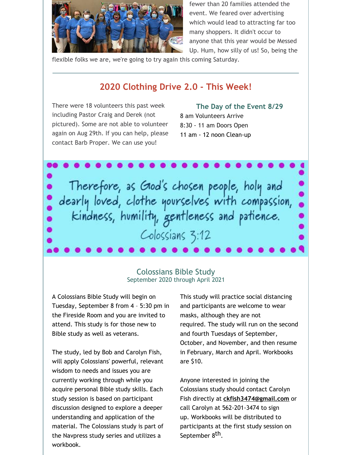

fewer than 20 families attended the event. We feared over advertising which would lead to attracting far too many shoppers. It didn't occur to anyone that this year would be Messed Up. Hum, how silly of us! So, being the

flexible folks we are, we're going to try again this coming Saturday.

### **2020 Clothing Drive 2.0 - This Week!**

There were 18 volunteers this past week including Pastor Craig and Derek (not pictured). Some are not able to volunteer again on Aug 29th. If you can help, please contact Barb Proper. We can use you!

**The Day of the Event 8/29** 8 am Volunteers Arrive 8:30 - 11 am Doors Open 11 am - 12 noon Clean-up

Therefore, as Good's chosen people, holy and<br>dearly loved, clothe yourselves with compassion,<br>kindness, humility, gentleness and patience. Colossians 3:12

### Colossians Bible Study September 2020 through April 2021

A Colossians Bible Study will begin on Tuesday, September 8 from 4 – 5:30 pm in the Fireside Room and you are invited to attend. This study is for those new to Bible study as well as veterans.

The study, led by Bob and Carolyn Fish, will apply Colossians' powerful, relevant wisdom to needs and issues you are currently working through while you acquire personal Bible study skills. Each study session is based on participant discussion designed to explore a deeper understanding and application of the material. The Colossians study is part of the Navpress study series and utilizes a workbook.

This study will practice social distancing and participants are welcome to wear masks, although they are not required. The study will run on the second and fourth Tuesdays of September, October, and November, and then resume in February, March and April. Workbooks are \$10.

Anyone interested in joining the Colossians study should contact Carolyn Fish directly at **[ckfish3474@gmail.com](mailto:ckfish3474@gmail.com)** or call Carolyn at 562-201-3474 to sign up. Workbooks will be distributed to participants at the first study session on September 8<sup>th</sup>.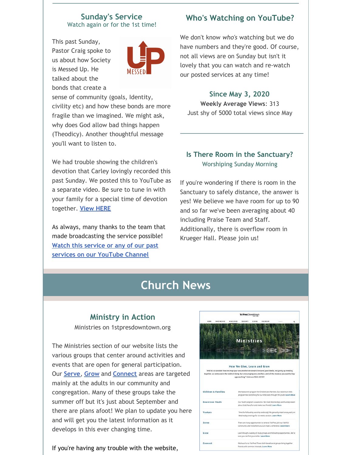#### **Sunday's Service** Watch again or for the 1st time!

This past Sunday, Pastor Craig spoke to us about how Society is Messed Up. He talked about the bonds that create a



sense of community (goals, Identity, civility etc) and how these bonds are more fragile than we imagined. We might ask, why does God allow bad things happen (Theodicy). Another thoughtful message you'll want to listen to.

We had trouble showing the children's devotion that Carley lovingly recorded this past Sunday. We posted this to YouTube as a separate video. Be sure to tune in with your family for a special time of devotion together. **View [HERE](https://www.youtube.com/watch?v=kZ8r4WXUk38)**

As always, many thanks to the team that made broadcasting the service possible! **Watch this service or any of our past services on our [YouTube](http://r20.rs6.net/tn.jsp?f=001TAEhPUeQXKS9PqOcukkRsNWUgGUBHZ7_nsdteClYMruoiLz1t14TsRr7UTt-UexyP7z8jFaaIPKIpT969G_ZUIkYi5mYoaY3H9bWFO_7npHXgu-wj68OzdnwykJslgohuottq9rPNR3w65MF7RkVXiqP9csz0dJjjE9juxHUxnD7AALW2Znqj4jNvmwW1hgb&c=xj6uxv4Ure-jLmebrsiWHqZgofQxk1jiFOFxtq_GIS985IIRxfa2wg==&ch=yLb4idgMcf26VkL_Lc86HYFK_5hMVavweuM2KPPMNNX6Iob9yt8sLA==) Channel**

### **Who's Watching on YouTube?**

We don't know *who's* watching but we do have numbers and they're good. Of course, not all views are on Sunday but isn't it lovely that you can watch and re-watch our posted services at any time!

#### **Since May 3, 2020**

**Weekly Average Views**: 313 Just shy of 5000 total views since May

### **Is There Room in the Sanctuary?** Worshiping Sunday Morning

If you're wondering if there is room in the Sanctuary to safely distance, the answer is yes! We believe we have room for up to 90 and so far we've been averaging about 40 including Praise Team and Staff. Additionally, there is overflow room in Krueger Hall. Please join us!

## **Church News**

### **Ministry in Action**

Ministries on 1stpresdowntown.org

The Ministries section of our website lists the various groups that center around activities and events that are open for general participation. Our **[Serve](https://www.1stpresdowntown.org/serve.html)**, **[Grow](https://www.1stpresdowntown.org/grow.html)** and **[Connect](https://www.1stpresdowntown.org/connect.html)** areas are targeted mainly at the adults in our community and congregation. Many of these groups take the summer off but it's just about September and there are plans afoot! We plan to update you here and will get you the latest information as it develops in this ever changing time.

If you're having any trouble with the website,

|                                                                                                              |                              | 1stPresDowntown                          |                                                      |                                                                                                                                        |   |
|--------------------------------------------------------------------------------------------------------------|------------------------------|------------------------------------------|------------------------------------------------------|----------------------------------------------------------------------------------------------------------------------------------------|---|
| WHO WE ARE<br><b>NOME</b>                                                                                    | MINISTRIES<br><b>SUNDAYS</b> | GIVING                                   | CALENDAR                                             | Seatt                                                                                                                                  | a |
|                                                                                                              |                              |                                          |                                                      |                                                                                                                                        |   |
|                                                                                                              |                              |                                          |                                                      |                                                                                                                                        |   |
|                                                                                                              |                              |                                          |                                                      |                                                                                                                                        |   |
|                                                                                                              |                              | <b>Ministries</b>                        |                                                      |                                                                                                                                        |   |
|                                                                                                              |                              |                                          |                                                      |                                                                                                                                        |   |
|                                                                                                              |                              |                                          |                                                      |                                                                                                                                        |   |
|                                                                                                              |                              |                                          |                                                      |                                                                                                                                        |   |
|                                                                                                              |                              |                                          |                                                      |                                                                                                                                        |   |
|                                                                                                              | How We Give, Learn and Grow  |                                          |                                                      |                                                                                                                                        |   |
| "And let us consider how we may spur one another on toward love and good deeds, not giving up meeting        |                              |                                          |                                                      |                                                                                                                                        |   |
|                                                                                                              |                              |                                          |                                                      |                                                                                                                                        |   |
|                                                                                                              |                              |                                          |                                                      |                                                                                                                                        |   |
| together, as some are in the habit of doing, but encouraging one another-and all the more as you see the Day |                              | approaching." Hebrews 10:24-25 NIV       |                                                      |                                                                                                                                        |   |
|                                                                                                              |                              |                                          |                                                      |                                                                                                                                        |   |
|                                                                                                              |                              |                                          |                                                      |                                                                                                                                        |   |
|                                                                                                              |                              |                                          |                                                      | We have a rich program for Children and Families. Our Adventure Kids                                                                   |   |
|                                                                                                              |                              |                                          |                                                      | program has something for our little ones through 5th grade. Learn More                                                                |   |
|                                                                                                              |                              |                                          |                                                      | Our Youth program is awesome. We meet Wednesdays and Sundays learn                                                                     |   |
|                                                                                                              |                              |                                          | about God. have fun and make new friends! Learn More |                                                                                                                                        |   |
|                                                                                                              |                              |                                          |                                                      | Time for fellowship, worship and study! We generally meet twice yearly on                                                              |   |
|                                                                                                              |                              |                                          | Wednesday evenings for six-weeks session, Learn More |                                                                                                                                        |   |
| <b>Children &amp; Families</b><br><b>Downtown Youth</b><br>Venture<br>Serve                                  |                              |                                          |                                                      |                                                                                                                                        |   |
|                                                                                                              |                              |                                          |                                                      | There are many opportunities to serve at 1st Pres. Join our faithful<br>community and find where you can make a difference. Learn More |   |
| Grow                                                                                                         |                              |                                          |                                                      |                                                                                                                                        |   |
|                                                                                                              |                              | sure you can find your niche. Learn More |                                                      | Learn though a variety of study groups and fellowship opportunities. We're                                                             |   |
| Connect                                                                                                      |                              |                                          |                                                      | We have fun at 1st Pres! These faith-based social groups bring together.                                                               |   |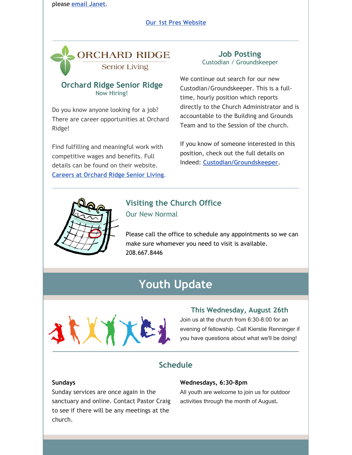please **[email](mailto:janet@1stpresdowntown.org) Janet**.

#### **Our 1st Pres [Website](http://www.1stpresdowntown.org/)**



### **Orchard Ridge Senior Ridge** Now Hiring!

Do you know anyone looking for a job? There are career opportunities at Orchard Ridge!

Find fulfilling and meaningful work with competitive wages and benefits. Full details can be found on their website. **Careers at [Orchard](http://www.theorchardcda.org/careers/) Ridge Senior Living**.

### **Job Posting** Custodian / Groundskeeper

We continue out search for our new Custodian/Groundskeeper. This is a fulltime, hourly position which reports directly to the Church Administrator and is accountable to the Building and Grounds Team and to the Session of the church.

If you know of someone interested in this position, check out the full details on Indeed: **[Custodian/Groundskeeper](https://www.indeed.com/job/custodiangroundskeeper-1713db722b958251)**.



# **Visiting the Church Office**

Our New Normal

Please call the office to schedule any appointments so we can make sure whomever you need to visit is available. 208.667.8446

# **Youth Update**



#### **This Wednesday, August 26th**

Join us at the church from 6:30-8:00 for an evening of fellowship. Call Kierstie Renninger if you have questions about what we'll be doing!

### **Schedule**

#### **Sundays**

Sunday services are once again in the sanctuary and online. Contact Pastor Craig to see if there will be any meetings at the church.

#### **Wednesdays, 6:30-8pm**

All youth are welcome to join us for outdoor activities through the month of August.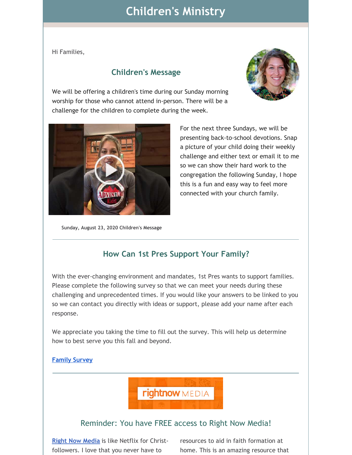## **Children's Ministry**

Hi Families,

### **Children's Message**



We will be offering a children's time during our Sunday morning worship for those who cannot attend in-person. There will be a challenge for the children to complete during the week.



**Sunday, August 23, 2020 Children's Message**

For the next three Sundays, we will be presenting back-to-school devotions. Snap a picture of your child doing their weekly challenge and either text or email it to me so we can show their hard work to the congregation the following Sunday, I hope this is a fun and easy way to feel more connected with your church family.

### **How Can 1st Pres Support Your Family?**

With the ever-changing environment and mandates, 1st Pres wants to support families. Please complete the following survey so that we can meet your needs during these challenging and unprecedented times. If you would like your answers to be linked to you so we can contact you directly with ideas or support, please add your name after each response.

We appreciate you taking the time to fill out the survey. This will help us determine how to best serve you this fall and beyond.

#### **[Family](https://docs.google.com/forms/d/e/1FAIpQLSd2ELuDpc4K0unD6DbI_Zselt3x2mwG6gORtmSTSkgKr-VQVw/viewform?usp=sf_link) Survey**

**rightnow** MEDIA

### Reminder: You have FREE access to Right Now Media!

**Right Now [Media](https://www.rightnowmedia.org/Account/Invite/FirstPresDowntown)** is like Netflix for Christfollowers. I love that you never have to

resources to aid in faith formation at home. This is an amazing resource that